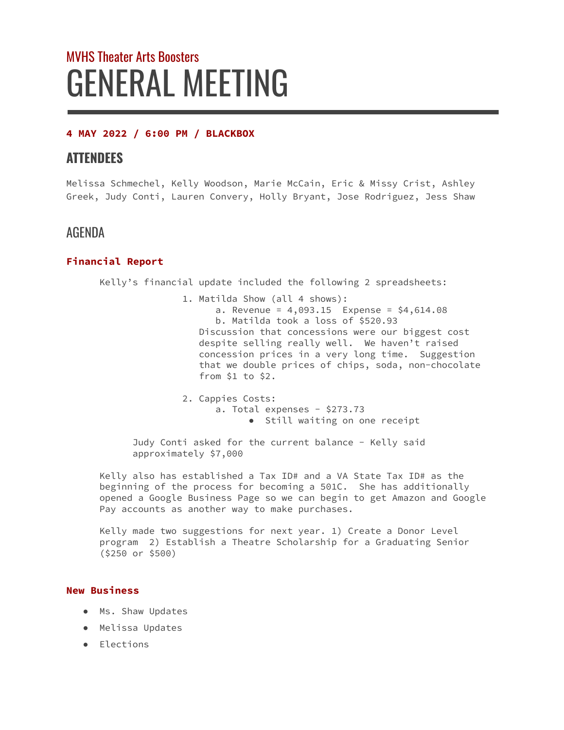# MVHS Theater Arts Boosters GENERAL MEETING

## **4 MAY 2022 / 6:00 PM / BLACKBOX**

# **ATTENDEES**

Melissa Schmechel, Kelly Woodson, Marie McCain, Eric & Missy Crist, Ashley Greek, Judy Conti, Lauren Convery, Holly Bryant, Jose Rodriguez, Jess Shaw

# AGENDA

### **Financial Report**

Kelly's financial update included the following 2 spreadsheets:

1. Matilda Show (all 4 shows): a. Revenue =  $4,093.15$  Expense =  $$4,614.08$ b. Matilda took a loss of \$520.93 Discussion that concessions were our biggest cost despite selling really well. We haven't raised concession prices in a very long time. Suggestion that we double prices of chips, soda, non-chocolate from \$1 to \$2.

2. Cappies Costs: a. Total expenses - \$273.73 ● Still waiting on one receipt

Judy Conti asked for the current balance - Kelly said approximately \$7,000

Kelly also has established a Tax ID# and a VA State Tax ID# as the beginning of the process for becoming a 501C. She has additionally opened a Google Business Page so we can begin to get Amazon and Google Pay accounts as another way to make purchases.

Kelly made two suggestions for next year. 1) Create a Donor Level program 2) Establish a Theatre Scholarship for a Graduating Senior (\$250 or \$500)

#### **New Business**

- Ms. Shaw Updates
- Melissa Updates
- Elections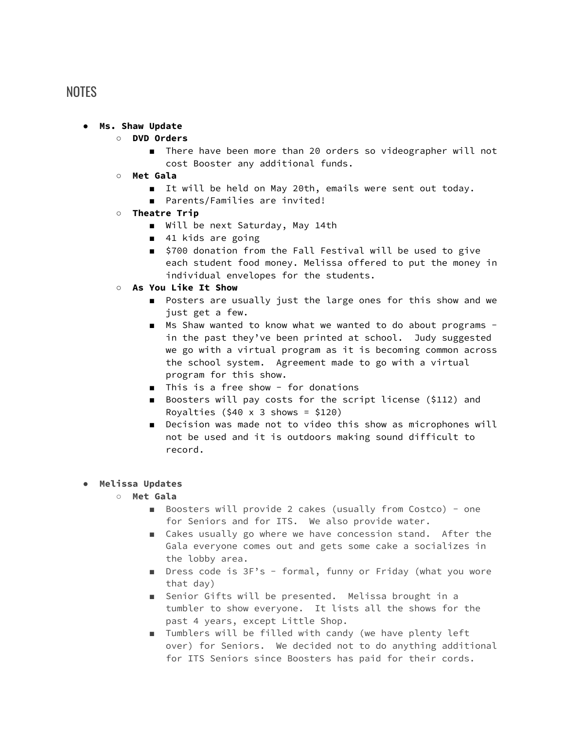# **NOTES**

#### **● Ms. Shaw Update**

- **○ DVD Orders**
	- There have been more than 20 orders so videographer will not cost Booster any additional funds.
- **○ Met Gala**
	- It will be held on May 20th, emails were sent out today.
	- Parents/Families are invited!
- **○ Theatre Trip**
	- Will be next Saturday, May 14th
	- 41 kids are going
	- \$700 donation from the Fall Festival will be used to give each student food money. Melissa offered to put the money in individual envelopes for the students.
- **○ As You Like It Show**
	- Posters are usually just the large ones for this show and we just get a few.
	- Ms Shaw wanted to know what we wanted to do about programs in the past they've been printed at school. Judy suggested we go with a virtual program as it is becoming common across the school system. Agreement made to go with a virtual program for this show.
	- This is a free show for donations
	- Boosters will pay costs for the script license (\$112) and Royalties  $(540 \times 3 \text{ shows } = 5120)$
	- Decision was made not to video this show as microphones will not be used and it is outdoors making sound difficult to record.

#### ● **Melissa Updates**

- **○ Met Gala**
	- Boosters will provide 2 cakes (usually from Costco) one for Seniors and for ITS. We also provide water.
	- Cakes usually go where we have concession stand. After the Gala everyone comes out and gets some cake a socializes in the lobby area.
	- Dress code is 3F's formal, funny or Friday (what you wore that day)
	- Senior Gifts will be presented. Melissa brought in a tumbler to show everyone. It lists all the shows for the past 4 years, except Little Shop.
	- Tumblers will be filled with candy (we have plenty left over) for Seniors. We decided not to do anything additional for ITS Seniors since Boosters has paid for their cords.